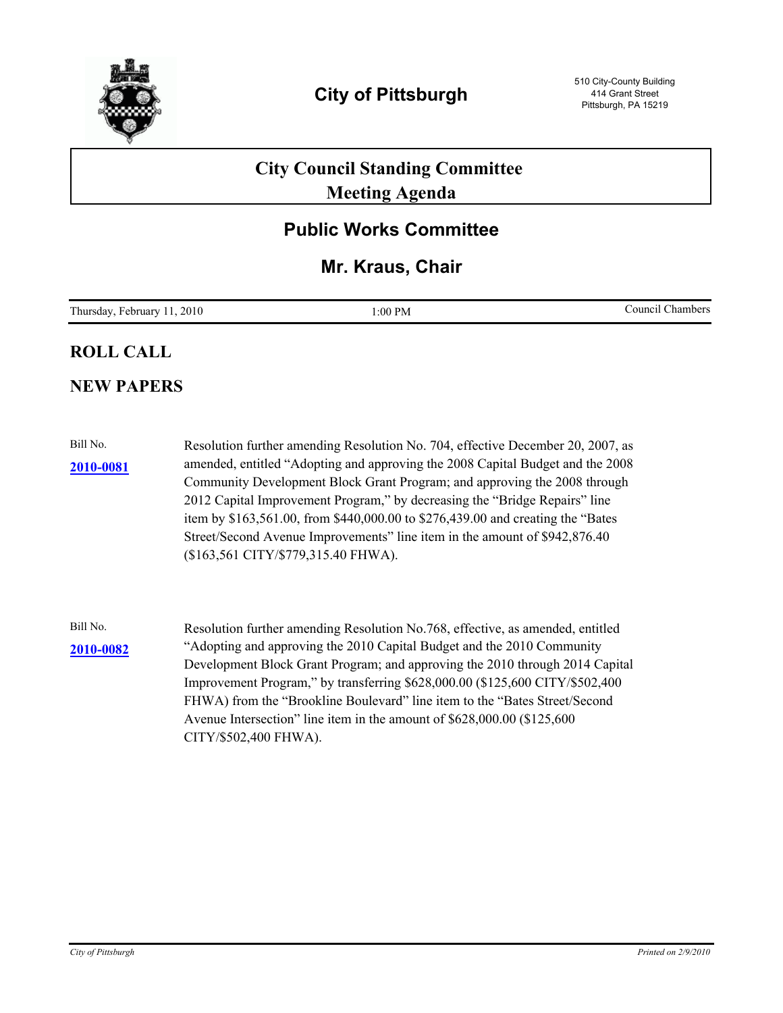

# **City Council Standing Committee Meeting Agenda**

## **Public Works Committee**

## **Mr. Kraus, Chair**

| Thursday,<br>.2010<br>Hebruarv 1 | 1:00 PM | $\cdot$ $\sim$<br>Council<br>Chambers |
|----------------------------------|---------|---------------------------------------|
|----------------------------------|---------|---------------------------------------|

### **ROLL CALL**

### **NEW PAPERS**

Bill No. Resolution further amending Resolution No. 704, effective December 20, 2007, as amended, entitled "Adopting and approving the 2008 Capital Budget and the 2008 Community Development Block Grant Program; and approving the 2008 through 2012 Capital Improvement Program," by decreasing the "Bridge Repairs" line item by \$163,561.00, from \$440,000.00 to \$276,439.00 and creating the "Bates Street/Second Avenue Improvements" line item in the amount of \$942,876.40 (\$163,561 CITY/\$779,315.40 FHWA). **[2010-0081](http://pittsburgh.legistar.com/gateway.aspx/matter.aspx?key=12584)**

Bill No. Resolution further amending Resolution No.768, effective, as amended, entitled [2010-0082](http://pittsburgh.legistar.com/gateway.aspx/matter.aspx?key=12585) <br>
<sup>2010-0082</sup> <sup>Adopting and approving the 2010 Capital Budget and the 2010 Community</sup> Development Block Grant Program; and approving the 2010 through 2014 Capital Improvement Program," by transferring \$628,000.00 (\$125,600 CITY/\$502,400 FHWA) from the "Brookline Boulevard" line item to the "Bates Street/Second Avenue Intersection" line item in the amount of \$628,000.00 (\$125,600 CITY/\$502,400 FHWA).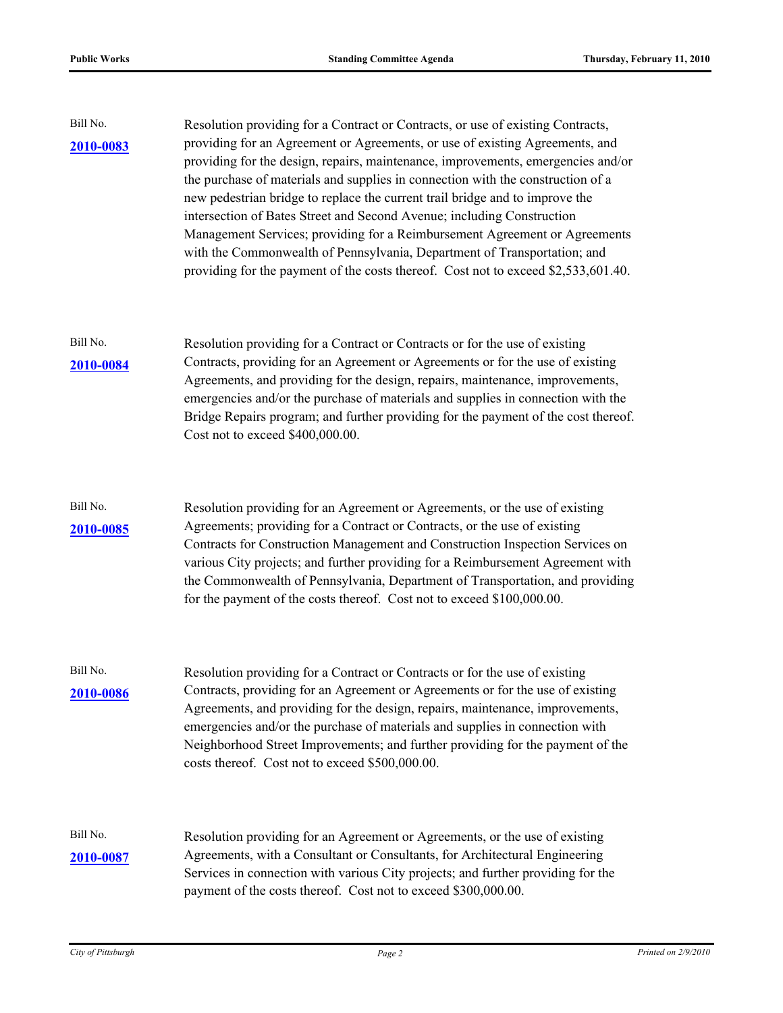| Bill No.<br>2010-0083 | Resolution providing for a Contract or Contracts, or use of existing Contracts,<br>providing for an Agreement or Agreements, or use of existing Agreements, and<br>providing for the design, repairs, maintenance, improvements, emergencies and/or<br>the purchase of materials and supplies in connection with the construction of a<br>new pedestrian bridge to replace the current trail bridge and to improve the<br>intersection of Bates Street and Second Avenue; including Construction<br>Management Services; providing for a Reimbursement Agreement or Agreements<br>with the Commonwealth of Pennsylvania, Department of Transportation; and<br>providing for the payment of the costs thereof. Cost not to exceed \$2,533,601.40. |  |
|-----------------------|--------------------------------------------------------------------------------------------------------------------------------------------------------------------------------------------------------------------------------------------------------------------------------------------------------------------------------------------------------------------------------------------------------------------------------------------------------------------------------------------------------------------------------------------------------------------------------------------------------------------------------------------------------------------------------------------------------------------------------------------------|--|
| Bill No.<br>2010-0084 | Resolution providing for a Contract or Contracts or for the use of existing<br>Contracts, providing for an Agreement or Agreements or for the use of existing<br>Agreements, and providing for the design, repairs, maintenance, improvements,<br>emergencies and/or the purchase of materials and supplies in connection with the<br>Bridge Repairs program; and further providing for the payment of the cost thereof.<br>Cost not to exceed \$400,000.00.                                                                                                                                                                                                                                                                                     |  |
| Bill No.<br>2010-0085 | Resolution providing for an Agreement or Agreements, or the use of existing<br>Agreements; providing for a Contract or Contracts, or the use of existing<br>Contracts for Construction Management and Construction Inspection Services on<br>various City projects; and further providing for a Reimbursement Agreement with<br>the Commonwealth of Pennsylvania, Department of Transportation, and providing<br>for the payment of the costs thereof. Cost not to exceed \$100,000.00.                                                                                                                                                                                                                                                          |  |
| Bill No.<br>2010-0086 | Resolution providing for a Contract or Contracts or for the use of existing<br>Contracts, providing for an Agreement or Agreements or for the use of existing<br>Agreements, and providing for the design, repairs, maintenance, improvements,<br>emergencies and/or the purchase of materials and supplies in connection with<br>Neighborhood Street Improvements; and further providing for the payment of the<br>costs thereof. Cost not to exceed \$500,000.00.                                                                                                                                                                                                                                                                              |  |
| Bill No.<br>2010-0087 | Resolution providing for an Agreement or Agreements, or the use of existing<br>Agreements, with a Consultant or Consultants, for Architectural Engineering<br>Services in connection with various City projects; and further providing for the<br>payment of the costs thereof. Cost not to exceed \$300,000.00.                                                                                                                                                                                                                                                                                                                                                                                                                                 |  |